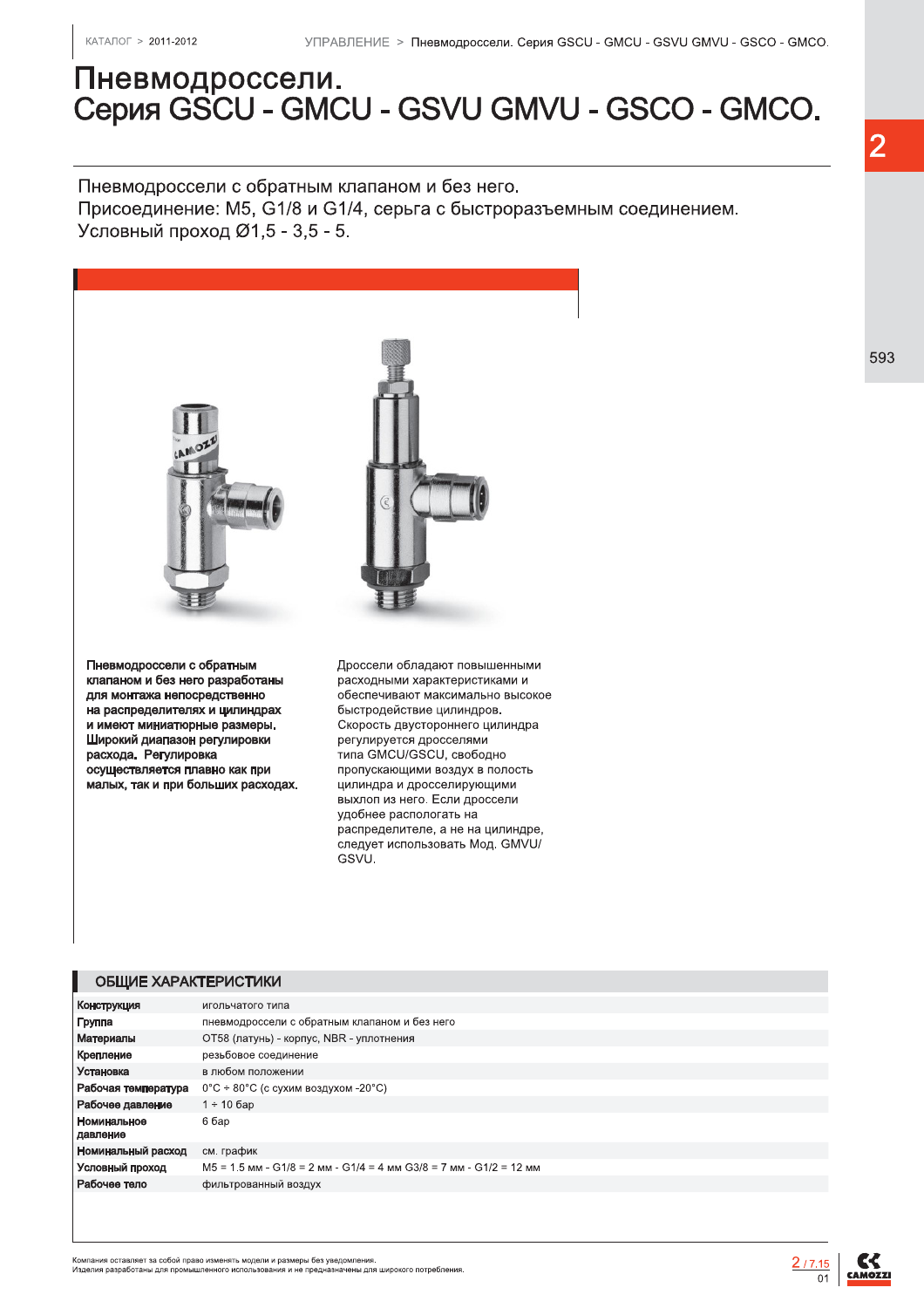# Пневмодроссели. Серия GSCU - GMCU - GSVU GMVU - GSCO - GMCO.

Пневмодроссели с обратным клапаном и без него.

Присоединение: М5, G1/8 и G1/4, серьга с быстроразъемным соединением. Условный проход Ø1,5 - 3,5 - 5.



цилиндра и дросселирующими выхлоп из него. Если дроссели удобнее распологать на распределителе, а не на цилиндре. следует использовать Мод. GMVU/ GSVU.

#### ОБЩИЕ ХАРАКТЕРИСТИКИ

| Конструкция             | игольчатого типа                                                     |
|-------------------------|----------------------------------------------------------------------|
| Группа                  | пневмодроссели с обратным клапаном и без него                        |
| Материалы               | ОТ58 (латунь) - корпус, NBR - уплотнения                             |
| Крепление               | резьбовое соединение                                                 |
| Установка               | в любом положении                                                    |
| Рабочая температура     | $0^{\circ}$ С ÷ 80°С (с сухим воздухом -20°С)                        |
| Рабочее давление        | $1 \div 10$ бар                                                      |
| Номинальное<br>давление | 6 бар                                                                |
| Номинальный расход      | см. график                                                           |
| Условный проход         | $M5 = 1.5$ MM - G1/8 = 2 MM - G1/4 = 4 MM G3/8 = 7 MM - G1/2 = 12 MM |
| Рабочее тело            | фильтрованный воздух                                                 |
|                         |                                                                      |

.<br>Компания оставляет за собой право изменять модели и размеры без уведомления.<br>Изделия разработаны для промышленного использования и не предназначены для широкого потребления

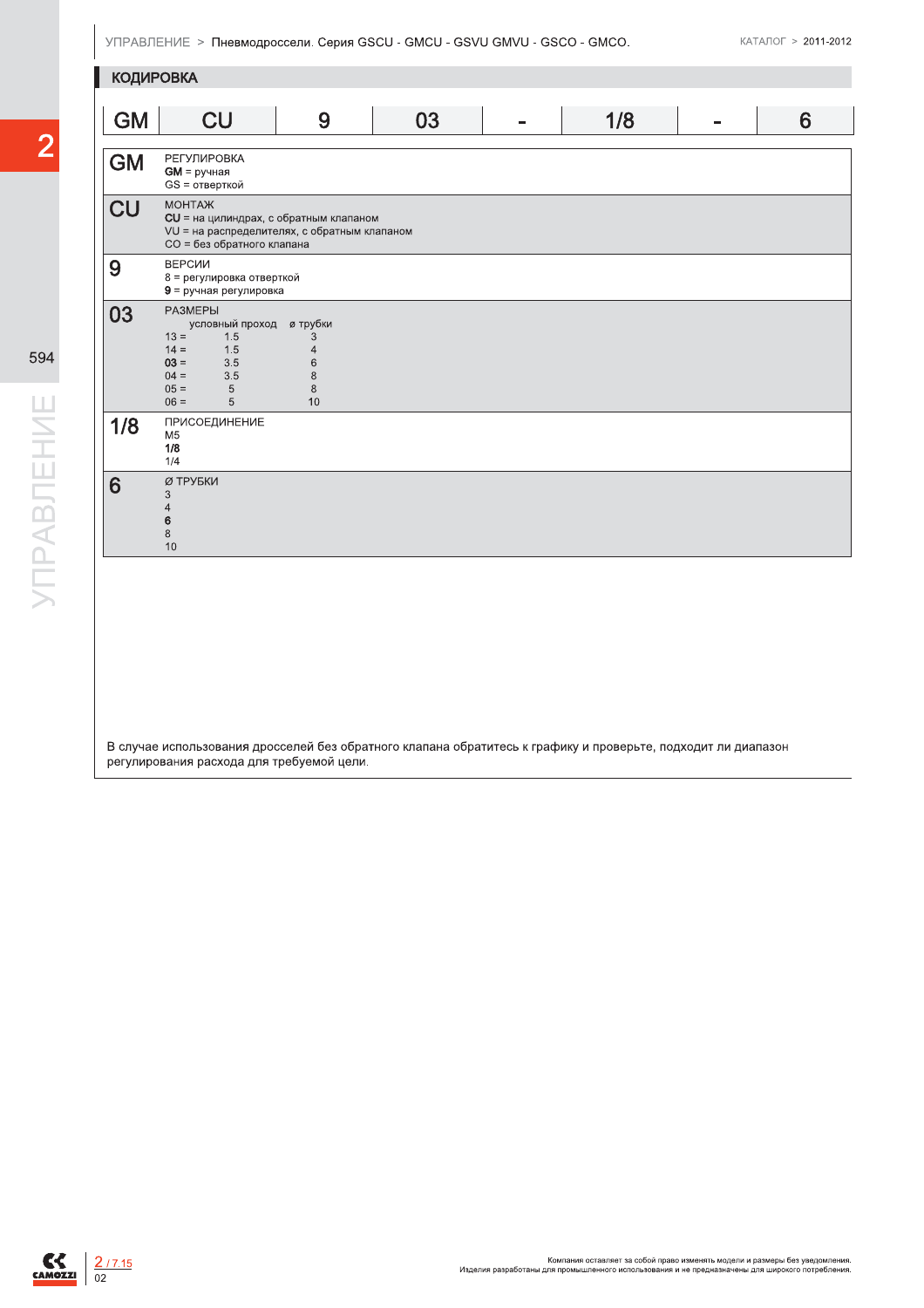$\overline{2}$ 

| <b>КОДИРОВКА</b> |                                                                                                                                         |                                                                              |    |   |     |   |
|------------------|-----------------------------------------------------------------------------------------------------------------------------------------|------------------------------------------------------------------------------|----|---|-----|---|
| <b>GM</b>        | <b>CU</b>                                                                                                                               | 9                                                                            | 03 | ÷ | 1/8 | 6 |
| <b>GM</b>        | <b>РЕГУЛИРОВКА</b><br>$GM = pyH =$<br>GS = отверткой                                                                                    |                                                                              |    |   |     |   |
| <b>CU</b>        | <b>MOHTAЖ</b><br>$CU =$ на цилиндрах, с обратным клапаном<br>VU = на распределителях, с обратным клапаном<br>CO = без обратного клапана |                                                                              |    |   |     |   |
| 9                | ВЕРСИИ<br>8 = регулировка отверткой<br>$9$ = ручная регулировка                                                                         |                                                                              |    |   |     |   |
| 03               | <b>РАЗМЕРЫ</b><br>условный проход<br>$13 =$<br>1.5<br>$14 =$<br>1.5<br>$03 =$<br>3.5<br>$04 =$<br>3.5<br>$05 =$<br>5<br>$06 =$<br>5     | <i><b>ø трубки</b></i><br>3<br>$\overline{4}$<br>$\,6$<br>$\,8\,$<br>8<br>10 |    |   |     |   |
| 1/8              | ПРИСОЕДИНЕНИЕ<br>M <sub>5</sub><br>1/8<br>1/4                                                                                           |                                                                              |    |   |     |   |
| 6                | Ø ТРУБКИ<br>3<br>4<br>6<br>8<br>1 <sub>0</sub>                                                                                          |                                                                              |    |   |     |   |

В случае использования дросселей без обратного клапана обратитесь к графику и проверьте, подходит ли диапазон регулирования расхода для требуемой цели.

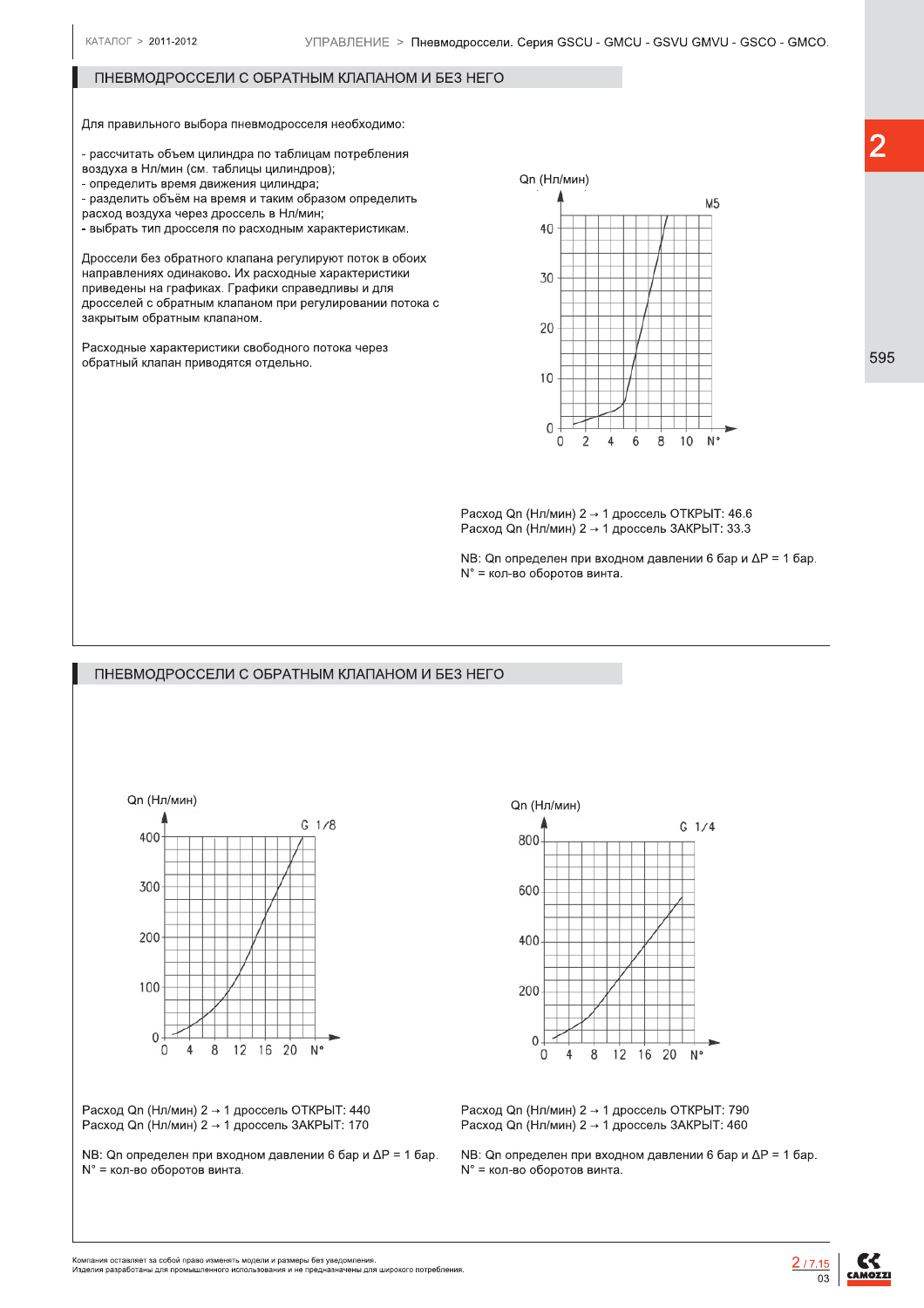## ПНЕВМОДРОССЕЛИ С ОБРАТНЫМ КЛАПАНОМ И БЕЗ НЕГО

Для правильного выбора пневмодросселя необходимо:

- рассчитать объем цилиндра по таблицам потребления

воздуха в Нл/мин (см. таблицы цилиндров):

- определить время движения цилиндра:

- разделить объём на время и таким образом определить

расход воздуха через дроссель в Нл/мин:

.<br>- выбрать тип дросселя по расходным характеристикам.

Дроссели без обратного клапана регулируют поток в обоих направлениях одинаково. Их расходные характеристики приведены на графиках. Графики справедливы и для дросселей с обратным клапаном при регулировании потока с закрытым обратным клапаном.

Расходные характеристики свободного потока через обратный клапан приводятся отдельно.



Расход Qn (Нл/мин)  $2 \rightarrow 1$  дроссель ОТКРЫТ: 46.6  $Pacx$ од Qn (Нл/мин) 2  $\rightarrow$  1 дроссель ЗАКРЫТ: 33.3

 $NB$ : On определен при входном давлении 6 бар и  $\Delta P = 1$  бар.  $N^\circ$  = кол-во оборотов винта.

### ПНЕВМОДРОССЕЛИ С ОБРАТНЫМ КЛАПАНОМ И БЕЗ НЕГО



 $Pacx$ од Qn (Нл/мин) 2  $\rightarrow$  1 дроссель ОТКРЫТ: 440  $Paccon$  Оп (Нл/мин) 2  $\rightarrow$  1 дроссель ЗАКРЫТ: 170

 $NB:$  Qn определен при входном давлении 6 бар и  $\Delta P = 1$  бар. N° = кол-во оборотов винта 8 )9:0./-



Расход Qn (Нл/мин)  $2 \rightarrow 1$  дроссель ОТКРЫТ: 790  $Paccon$  Оп (Нл/мин) 2  $\rightarrow$  1 дроссель ЗАКРЫТ: 460

NB: Qn определен при входном давлении 6 бар и  $\Delta P = 1$  бар.  $N^\circ$  = кол-во оборотов винта.

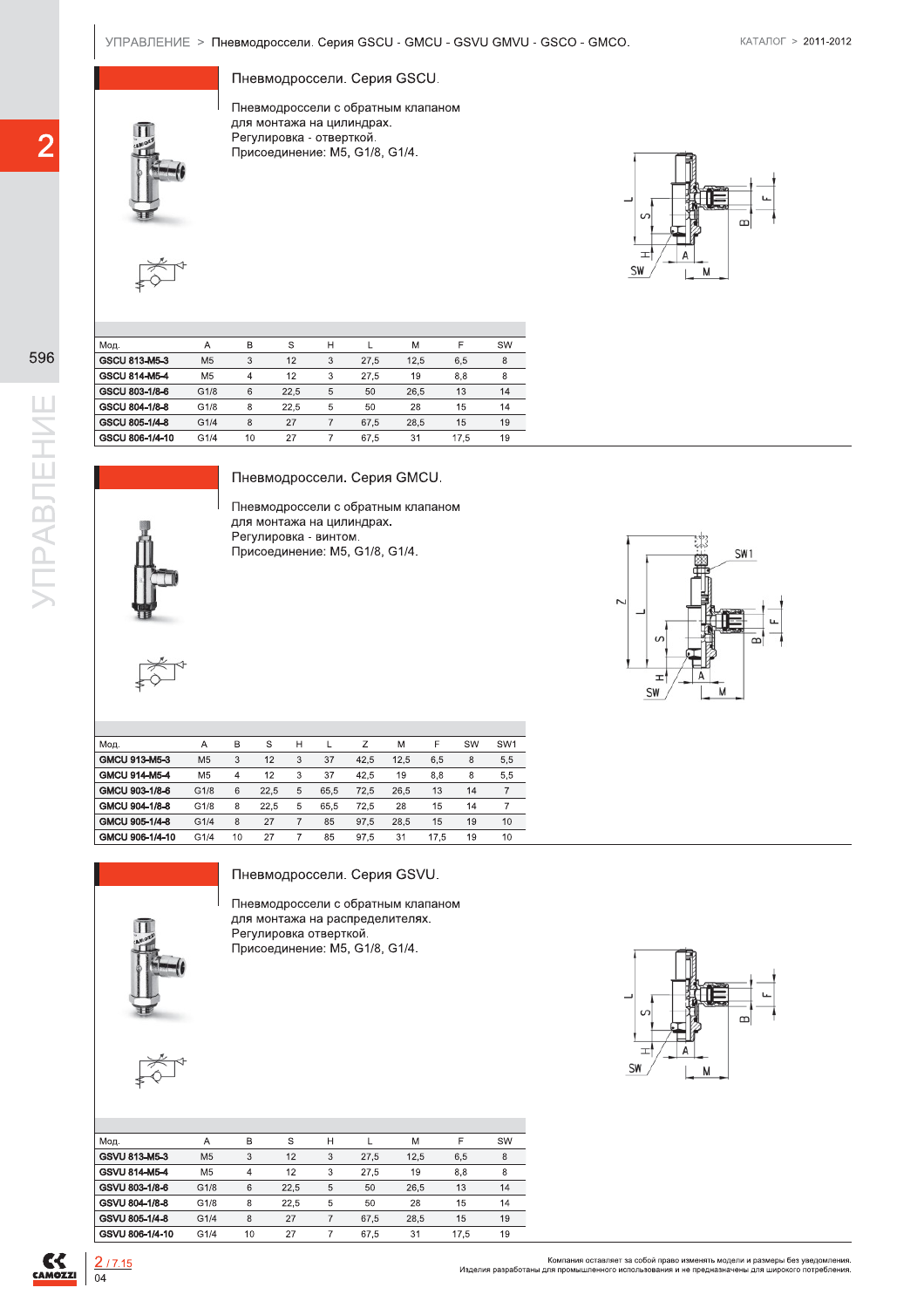Пневмодроссели. Серия GSCU.

УПРАВЛЕНИЕ > Пневмодроссели. Серия GSCU - GMCU - GSVU GMVU - GSCO - GMCO.<br>
Пневмодроссели. Серия GSCU.<br>
Пневмодроссели с обратным клапаном<br>
для монтажа на цилиндрах.<br>
Регулировка - отвертикой.<br>
Присоединение: M5. G1/8. G1 Пневмодроссели с обратным клапаном для монтажа на цилиндрах. Регулировка - отверткой. Присоединение: М5, G1/8, G1/4. УПРАВЛЕНИЕ > Пневмодроссели. (<br>
Пневмодроссели.<br>
Пневмодроссели.<br>
Пневмодросселия монтажа на Регулировка - о<br>
Регулировка - о<br>
Присоединение



|     |               | Мод.            | Α              | B  | S    | н    |      | M    | F    | SW |
|-----|---------------|-----------------|----------------|----|------|------|------|------|------|----|
| 596 |               | GSCU 813-M5-3   | M <sub>5</sub> | 3  | 12   | 3    | 27.5 | 12.5 | 6.5  | 8  |
|     | GSCU 814-M5-4 | M <sub>5</sub>  | 4              | 12 | 3    | 27.5 | 19   | 8.8  | 8    |    |
|     |               | GSCU 803-1/8-6  | G1/8           | 6  | 22.5 | 5    | 50   | 26.5 | 13   | 14 |
|     |               | GSCU 804-1/8-8  | G1/8           | 8  | 22.5 | 5    | 50   | 28   | 15   | 14 |
|     |               | GSCU 805-1/4-8  | G1/4           | 8  | 27   |      | 67.5 | 28.5 | 15   | 19 |
|     |               | GSCU 806-1/4-10 | G1/4           | 10 | 27   |      | 67.5 | 31   | 17.5 | 19 |





| $\overline{2}$       |                | Пневмодроссели с обратным клапаном<br>для монтажа на цилиндрах.<br>Регулировка - отверткой.<br>Присоединение: М5, G1/8, G1/4. |             |                           |                       |                                                                                                      |      |      |      |                |  |
|----------------------|----------------|-------------------------------------------------------------------------------------------------------------------------------|-------------|---------------------------|-----------------------|------------------------------------------------------------------------------------------------------|------|------|------|----------------|--|
|                      |                |                                                                                                                               |             |                           |                       |                                                                                                      |      |      |      |                |  |
| Мод.                 | Α              | B                                                                                                                             |             | $\mathbb S$               | н                     | L                                                                                                    | М    |      | F    | SW             |  |
| 596<br>GSCU 813-M5-3 | M <sub>5</sub> | $\sqrt{3}$                                                                                                                    |             | 12                        | $\sqrt{3}$            | 27,5                                                                                                 | 12,5 |      | 6,5  | 8              |  |
| GSCU 814-M5-4        | M <sub>5</sub> | $\overline{4}$                                                                                                                |             | 12                        | 3                     | 27,5                                                                                                 | 19   |      | 8,8  | 8              |  |
| GSCU 803-1/8-6       | G1/8           | $\,6$                                                                                                                         |             | 22,5                      | $\,$ 5 $\,$           | 50                                                                                                   | 26,5 |      | 13   | 14             |  |
| GSCU 804-1/8-8       | G1/8           | $\,$ 8 $\,$                                                                                                                   |             | 22,5                      | 5                     | 50                                                                                                   | 28   |      | 15   | 14             |  |
| GSCU 805-1/4-8       | G1/4           | $\,$ 8 $\,$                                                                                                                   |             | 27                        | $\boldsymbol{7}$      | 67,5                                                                                                 | 28,5 |      | 15   | 19             |  |
| GSCU 806-1/4-10      | G1/4           | 10                                                                                                                            |             | 27                        | $\boldsymbol{7}$      | 67,5                                                                                                 | 31   |      | 17,5 | 19             |  |
| <b>YNPABJIEHNE</b>   |                |                                                                                                                               |             |                           | Регулировка - винтом. | для монтажа на цилиндрах.<br>Присоединение: М5, G1/8, G1/4.                                          |      |      |      |                |  |
| Мод.                 | Α              | B                                                                                                                             | $\mathbb S$ | H                         | L                     | Ζ                                                                                                    | Μ    | F    | SW   | SW1            |  |
| GMCU 913-M5-3        | M <sub>5</sub> | 3                                                                                                                             | 12          | $\ensuremath{\mathsf{3}}$ | $37\,$                | 42,5                                                                                                 | 12,5 | 6,5  | 8    | 5,5            |  |
| GMCU 914-M5-4        | M <sub>5</sub> | 4                                                                                                                             | 12          | 3                         | 37                    | 42,5                                                                                                 | 19   | 8,8  | 8    | 5,5            |  |
| GMCU 903-1/8-6       | G1/8           | 6                                                                                                                             | 22,5        | $\,$ 5 $\,$               | 65,5                  | 72,5                                                                                                 | 26,5 | 13   | 14   | $\overline{7}$ |  |
| GMCU 904-1/8-8       | G1/8           | 8                                                                                                                             | 22,5        | $\,$ 5 $\,$               | 65,5                  | 72,5                                                                                                 | 28   | 15   | 14   | $\overline{7}$ |  |
| GMCU 905-1/4-8       | G1/4           | $\,8\,$                                                                                                                       | 27          | $\overline{7}$            | 85                    | 97,5                                                                                                 | 28,5 | 15   | 19   | 10             |  |
| GMCU 906-1/4-10      | G1/4           | 10                                                                                                                            | 27          | $\overline{7}$            | 85                    | 97,5                                                                                                 | 31   | 17,5 | 19   | 10             |  |
|                      |                |                                                                                                                               |             |                           |                       | Пневмодроссели. Серия GSVU.<br>Пневмодроссели с обратным клапаном<br>для монтажа на распределителях. |      |      |      |                |  |



Пневмодроссели с обратным клапаном для монтажа на распределителях. Регулировка отверткой. Присоединение: М5, G1/8, G1/4.

| Мод.            | Α              | B  | S    | н |      | M    | F    | SW |
|-----------------|----------------|----|------|---|------|------|------|----|
| GSVU 813-M5-3   | M <sub>5</sub> | 3  | 12   | 3 | 27.5 | 12.5 | 6.5  | 8  |
| GSVU 814-M5-4   | M <sub>5</sub> | 4  | 12   | 3 | 27.5 | 19   | 8.8  | 8  |
| GSVU 803-1/8-6  | G1/8           | 6  | 22.5 | 5 | 50   | 26.5 | 13   | 14 |
| GSVU 804-1/8-8  | G1/8           | 8  | 22,5 | 5 | 50   | 28   | 15   | 14 |
| GSVU 805-1/4-8  | G1/4           | 8  | 27   |   | 67.5 | 28.5 | 15   | 19 |
| GSVU 806-1/4-10 | G1/4           | 10 | 27   |   | 67.5 | 31   | 17.5 | 19 |



 $C<sub>Gamma</sub>$ 

 $\frac{2/7.15}{04}$ 

Компания оставляет за собой право изменять модели и размеры без уведомления.<br>Изделия разработаны для промышленного использования и не предназначены для широкого потребления.